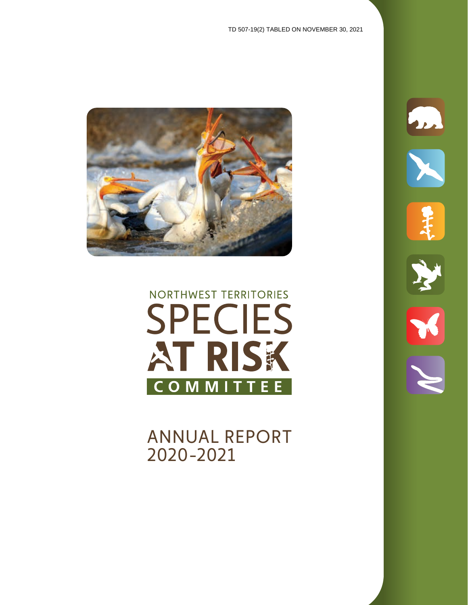m



# NORTHWEST TERRITORIES **SPECIES** AT RISK **COMMITTEE**

ANNUAL REPORT 2020-2021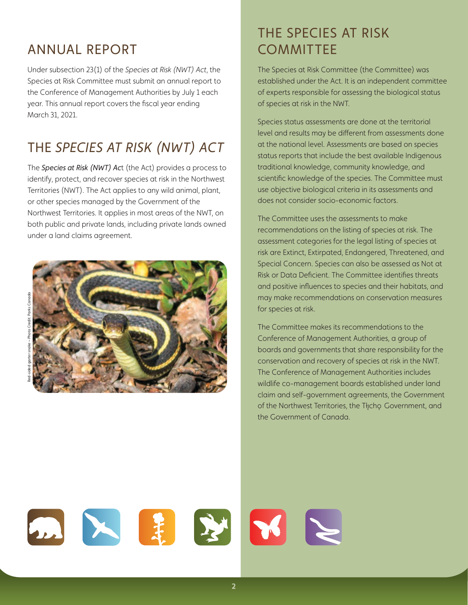### ANNUAL REPORT

Under subsection 23(1) of the *Species at Risk (NWT) Act*, the Species at Risk Committee must submit an annual report to the Conference of Management Authorities by July 1 each year. This annual report covers the fiscal year ending March 31, 2021.

# THE *SPECIES AT RISK (NWT) ACT*

The *Species at Risk (NWT) Ac*t (the Act) provides a process to identify, protect, and recover species at risk in the Northwest Territories (NWT). The Act applies to any wild animal, plant, or other species managed by the Government of the Northwest Territories. It applies in most areas of the NWT, on both public and private lands, including private lands owned under a land claims agreement.



# THE SPECIES AT RISK **COMMITTEE**

The Species at Risk Committee (the Committee) was established under the Act. It is an independent committee of experts responsible for assessing the biological status of species at risk in the NWT.

Species status assessments are done at the territorial level and results may be different from assessments done at the national level. Assessments are based on species status reports that include the best available Indigenous traditional knowledge, community knowledge, and scientific knowledge of the species. The Committee must use objective biological criteria in its assessments and does not consider socio-economic factors.

The Committee uses the assessments to make recommendations on the listing of species at risk. The assessment categories for the legal listing of species at risk are Extinct, Extirpated, Endangered, Threatened, and Special Concern. Species can also be assessed as Not at Risk or Data Deficient. The Committee identifies threats and positive influences to species and their habitats, and may make recommendations on conservation measures for species at risk.

The Committee makes its recommendations to the Conference of Management Authorities, a group of boards and governments that share responsibility for the conservation and recovery of species at risk in the NWT. The Conference of Management Authorities includes wildlife co-management boards established under land claim and self-government agreements, the Government of the Northwest Territories, the Tłįcho Government, and the Government of Canada.

 $\blacksquare$  $\mathbb{R}$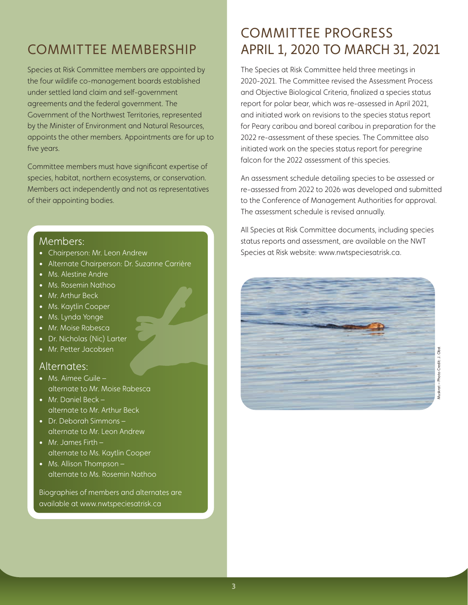### COMMITTEE MEMBERSHIP

Species at Risk Committee members are appointed by the four wildlife co-management boards established under settled land claim and self-government agreements and the federal government. The Government of the Northwest Territories, represented by the Minister of Environment and Natural Resources, appoints the other members. Appointments are for up to five years.

Committee members must have significant expertise of species, habitat, northern ecosystems, or conservation. Members act independently and not as representatives of their appointing bodies.

#### Members:

- Chairperson: Mr. Leon Andrew
- Alternate Chairperson: Dr. Suzanne Carrière
- Ms. Alestine Andre
- Ms. Rosemin Nathoo
- Mr. Arthur Beck
- Ms. Kaytlin Cooper
- Ms. Lynda Yonge
- Mr. Moise Rabesca
- Dr. Nicholas (Nic) Larter
- Mr. Petter Jacobsen

#### Alternates:

- Ms. Aimee Guile alternate to Mr. Moise Rabesca
- Mr. Daniel Beck alternate to Mr. Arthur Beck
- Dr. Deborah Simmons alternate to Mr. Leon Andrew
- Mr. James Firth alternate to Ms. Kaytlin Cooper
- Ms. Allison Thompson alternate to Ms. Rosemin Nathoo

Biographies of members and alternates are available at www.nwtspeciesatrisk.ca

### COMMITTEE PROGRESS APRIL 1, 2020 TO MARCH 31, 2021

The Species at Risk Committee held three meetings in 2020-2021. The Committee revised the Assessment Process and Objective Biological Criteria, finalized a species status report for polar bear, which was re-assessed in April 2021, and initiated work on revisions to the species status report for Peary caribou and boreal caribou in preparation for the 2022 re-assessment of these species. The Committee also initiated work on the species status report for peregrine falcon for the 2022 assessment of this species.

An assessment schedule detailing species to be assessed or re-assessed from 2022 to 2026 was developed and submitted to the Conference of Management Authorities for approval. The assessment schedule is revised annually.

All Species at Risk Committee documents, including species status reports and assessment, are available on the NWT Species at Risk website: www.nwtspeciesatrisk.ca.

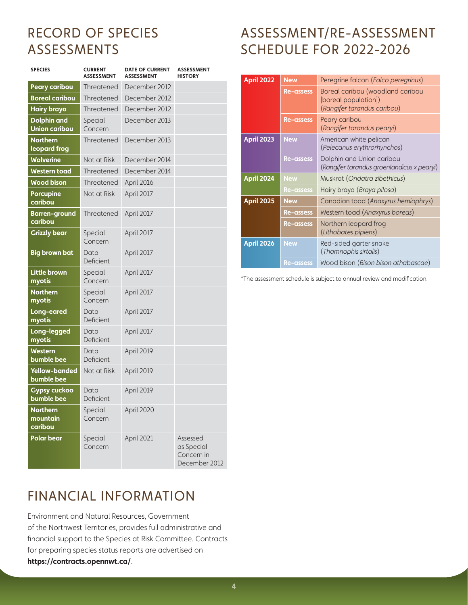## RECORD OF SPECIES ASSESSMENTS

| <b>SPECIES</b>                             | <b>CURRENT</b><br><b>ASSESSMENT</b> | <b>DATE OF CURRENT</b><br><b>ASSESSMENT</b> | <b>ASSESSMENT</b><br><b>HISTORY</b>                   |
|--------------------------------------------|-------------------------------------|---------------------------------------------|-------------------------------------------------------|
| <b>Peary caribou</b>                       | Threatened                          | December 2012                               |                                                       |
| <b>Boreal caribou</b>                      | December 2012<br>Threatened         |                                             |                                                       |
| <b>Hairy braya</b>                         | Threatened                          | December 2012                               |                                                       |
| <b>Dolphin and</b><br><b>Union caribou</b> | Special<br>Concern                  | December 2013                               |                                                       |
| <b>Northern</b><br>leopard frog            | Threatened                          | December 2013                               |                                                       |
| <b>Wolverine</b>                           | Not at Risk                         | December 2014                               |                                                       |
| <b>Western toad</b>                        | Threatened                          | December 2014                               |                                                       |
| <b>Wood bison</b>                          | Threatened                          | April 2016                                  |                                                       |
| <b>Porcupine</b><br>caribou                | Not at Risk                         | April 2017                                  |                                                       |
| <b>Barren-ground</b><br>caribou            | Threatened                          | April 2017                                  |                                                       |
| <b>Grizzly bear</b>                        | Special<br>Concern                  | April 2017                                  |                                                       |
| <b>Big brown bat</b>                       | Data<br>Deficient                   | April 2017                                  |                                                       |
| <b>Little brown</b><br>myotis              | Special<br>Concern                  | April 2017                                  |                                                       |
| <b>Northern</b><br>myotis                  | Special<br>Concern                  | April 2017                                  |                                                       |
| Long-eared<br>myotis                       | Data<br>Deficient                   | April 2017                                  |                                                       |
| Long-legged<br>myotis                      | Data<br>Deficient                   | April 2017                                  |                                                       |
| <b>Western</b><br>bumble bee               | Data<br>Deficient                   | April 2019                                  |                                                       |
| <b>Yellow-banded</b><br>bumble bee         | Not at Risk                         | April 2019                                  |                                                       |
| <b>Gypsy cuckoo</b><br>bumble bee          | Data<br>Deficient                   | April 2019                                  |                                                       |
| <b>Northern</b><br>mountain<br>caribou     | Special<br>Concern                  | April 2020                                  |                                                       |
| <b>Polar bear</b>                          | Special<br>Concern                  | April 2021                                  | Assessed<br>as Special<br>Concern in<br>December 2012 |

# ASSESSMENT/RE-ASSESSMENT SCHEDULE FOR 2022-2026

| <b>April 2022</b> | <b>New</b>       | Peregrine falcon (Falco peregrinus)                                                     |  |
|-------------------|------------------|-----------------------------------------------------------------------------------------|--|
|                   | <b>Re-assess</b> | Boreal caribou (woodland caribou<br>[boreal population])<br>(Rangifer tarandus caribou) |  |
|                   | <b>Re-assess</b> | Peary caribou<br>(Rangifer tarandus pearyi)                                             |  |
| <b>April 2023</b> | <b>New</b>       | American white pelican<br>(Pelecanus erythrorhynchos)                                   |  |
|                   | <b>Re-assess</b> | Dolphin and Union caribou<br>(Rangifer tarandus groenlandicus x pearyi)                 |  |
| <b>April 2024</b> | <b>New</b>       | Muskrat (Ondatra zibethicus)                                                            |  |
|                   | <b>Re-assess</b> | Hairy braya ( <i>Braya pilosa</i> )                                                     |  |
| <b>April 2025</b> | <b>New</b>       | Canadian toad (Anaxyrus hemiophrys)                                                     |  |
|                   | <b>Re-assess</b> | Western toad (Anaxyrus boreas)                                                          |  |
|                   | <b>Re-assess</b> | Northern leopard frog<br>(Lithobates pipiens)                                           |  |
| April 2026        | <b>New</b>       | Red-sided garter snake<br>(Thamnophis sirtalis)                                         |  |
|                   | <b>Re-assess</b> | Wood bison (Bison bison athabascae)                                                     |  |

\*The assessment schedule is subject to annual review and modification.

# FINANCIAL INFORMATION

Environment and Natural Resources, Government of the Northwest Territories, provides full administrative and financial support to the Species at Risk Committee. Contracts for preparing species status reports are advertised on **https://contracts.opennwt.ca/**.